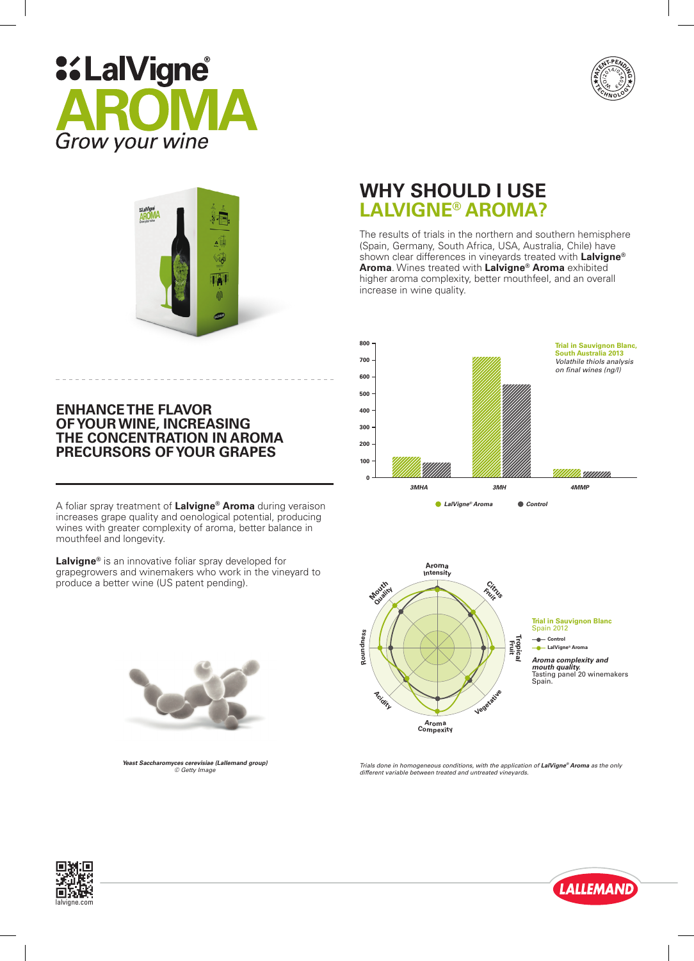





### **ENHANCE THE FLAVOR OF YOUR WINE, INCREASING THE CONCENTRATION IN AROMA PRECURSORS OF YOUR GRAPES**

A foliar spray treatment of **Lalvigne® Aroma** during veraison increases grape quality and oenological potential, producing wines with greater complexity of aroma, better balance in mouthfeel and longevity.

**Lalvigne®** is an innovative foliar spray developed for grapegrowers and winemakers who work in the vineyard to produce a better wine (US patent pending).



*Yeast Saccharomyces cerevisiae (Lallemand group) © Getty Image*

# **WHY SHOULD I USE LALVIGNE® AROMA?**

The results of trials in the northern and southern hemisphere (Spain, Germany, South Africa, USA, Australia, Chile) have shown clear differences in vineyards treated with **Lalvigne® Aroma**. Wines treated with **Lalvigne® Aroma** exhibited higher aroma complexity, better mouthfeel, and an overall increase in wine quality.





*Trials done in homogeneous conditions, with the application of LalVigne® Aroma as the only different variable between treated and untreated vineyards.*